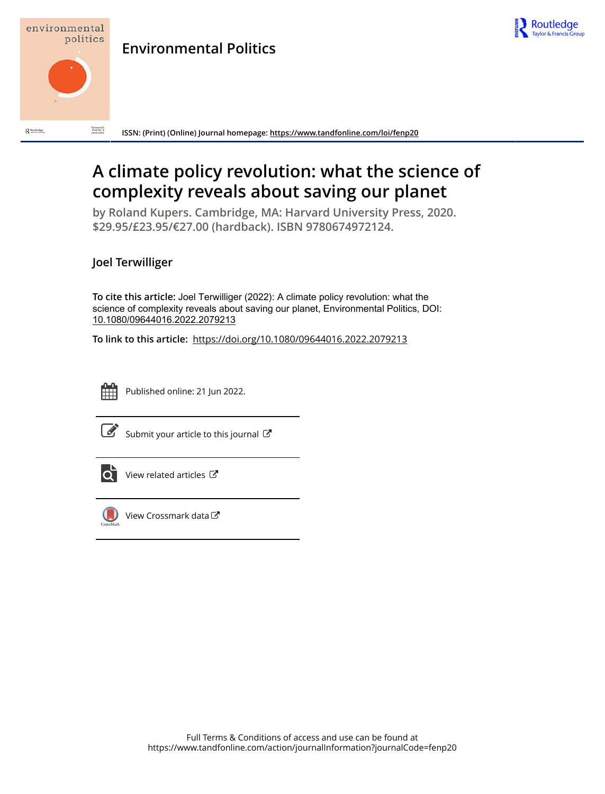



 $\mathbf R$  Routledge

Volume 31<br>Number 4<br>June 2022 **ISSN: (Print) (Online) Journal homepage:<https://www.tandfonline.com/loi/fenp20>**

## **A climate policy revolution: what the science of complexity reveals about saving our planet**

**by Roland Kupers. Cambridge, MA: Harvard University Press, 2020. \$29.95/£23.95/€27.00 (hardback). ISBN 9780674972124.**

## **Joel Terwilliger**

**To cite this article:** Joel Terwilliger (2022): A climate policy revolution: what the science of complexity reveals about saving our planet, Environmental Politics, DOI: [10.1080/09644016.2022.2079213](https://www.tandfonline.com/action/showCitFormats?doi=10.1080/09644016.2022.2079213)

**To link to this article:** <https://doi.org/10.1080/09644016.2022.2079213>



Published online: 21 Jun 2022.

| ۰. |
|----|

[Submit your article to this journal](https://www.tandfonline.com/action/authorSubmission?journalCode=fenp20&show=instructions)  $\mathbb{Z}$ 



 $\overline{\mathbf{C}}$  [View related articles](https://www.tandfonline.com/doi/mlt/10.1080/09644016.2022.2079213)  $\mathbf{C}$ 



[View Crossmark data](http://crossmark.crossref.org/dialog/?doi=10.1080/09644016.2022.2079213&domain=pdf&date_stamp=2022-06-21)<sup>C</sup>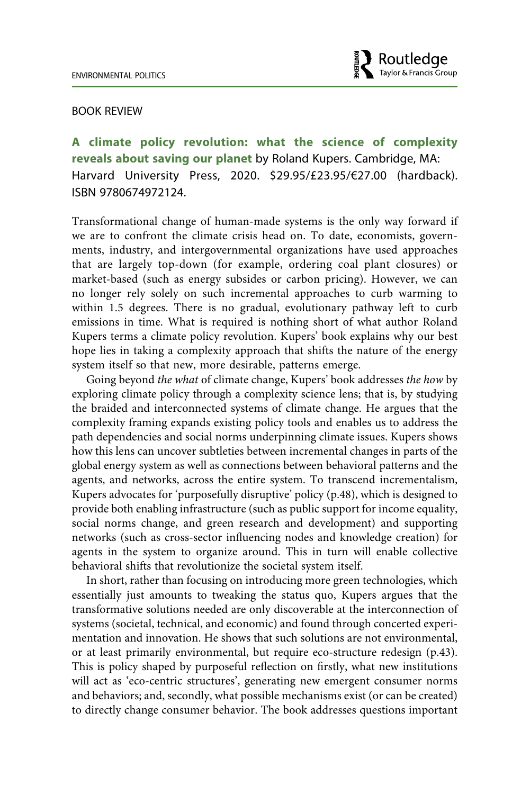

## BOOK REVIEW

**A climate policy revolution: what the science of complexity reveals about saving our planet** by Roland Kupers. Cambridge, MA: Harvard University Press, 2020. \$29.95/£23.95/€27.00 (hardback). ISBN 9780674972124.

Transformational change of human-made systems is the only way forward if we are to confront the climate crisis head on. To date, economists, governments, industry, and intergovernmental organizations have used approaches that are largely top-down (for example, ordering coal plant closures) or market-based (such as energy subsides or carbon pricing). However, we can no longer rely solely on such incremental approaches to curb warming to within 1.5 degrees. There is no gradual, evolutionary pathway left to curb emissions in time. What is required is nothing short of what author Roland Kupers terms a climate policy revolution. Kupers' book explains why our best hope lies in taking a complexity approach that shifts the nature of the energy system itself so that new, more desirable, patterns emerge.

Going beyond *the what* of climate change, Kupers' book addresses *the how* by exploring climate policy through a complexity science lens; that is, by studying the braided and interconnected systems of climate change. He argues that the complexity framing expands existing policy tools and enables us to address the path dependencies and social norms underpinning climate issues. Kupers shows how this lens can uncover subtleties between incremental changes in parts of the global energy system as well as connections between behavioral patterns and the agents, and networks, across the entire system. To transcend incrementalism, Kupers advocates for 'purposefully disruptive' policy (p.48), which is designed to provide both enabling infrastructure (such as public support for income equality, social norms change, and green research and development) and supporting networks (such as cross-sector influencing nodes and knowledge creation) for agents in the system to organize around. This in turn will enable collective behavioral shifts that revolutionize the societal system itself.

In short, rather than focusing on introducing more green technologies, which essentially just amounts to tweaking the status quo, Kupers argues that the transformative solutions needed are only discoverable at the interconnection of systems (societal, technical, and economic) and found through concerted experimentation and innovation. He shows that such solutions are not environmental, or at least primarily environmental, but require eco-structure redesign (p.43). This is policy shaped by purposeful reflection on firstly, what new institutions will act as 'eco-centric structures', generating new emergent consumer norms and behaviors; and, secondly, what possible mechanisms exist (or can be created) to directly change consumer behavior. The book addresses questions important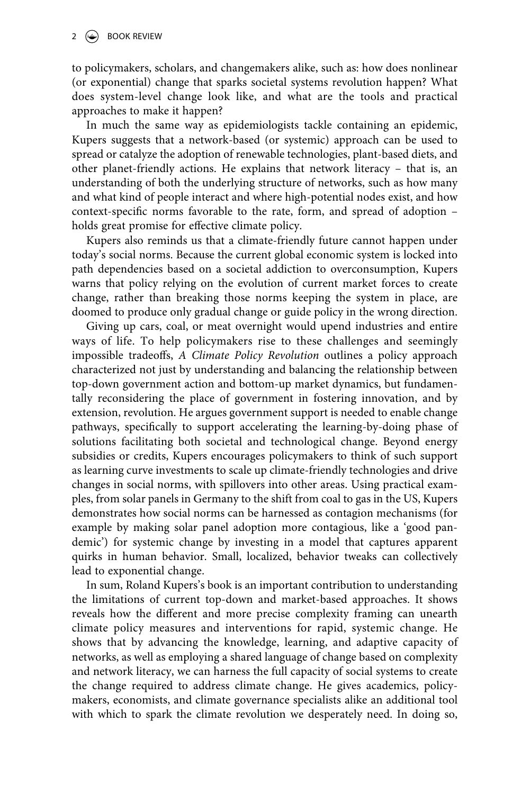to policymakers, scholars, and changemakers alike, such as: how does nonlinear (or exponential) change that sparks societal systems revolution happen? What does system-level change look like, and what are the tools and practical approaches to make it happen?

In much the same way as epidemiologists tackle containing an epidemic, Kupers suggests that a network-based (or systemic) approach can be used to spread or catalyze the adoption of renewable technologies, plant-based diets, and other planet-friendly actions. He explains that network literacy – that is, an understanding of both the underlying structure of networks, such as how many and what kind of people interact and where high-potential nodes exist, and how context-specific norms favorable to the rate, form, and spread of adoption – holds great promise for effective climate policy.

Kupers also reminds us that a climate-friendly future cannot happen under today's social norms. Because the current global economic system is locked into path dependencies based on a societal addiction to overconsumption, Kupers warns that policy relying on the evolution of current market forces to create change, rather than breaking those norms keeping the system in place, are doomed to produce only gradual change or guide policy in the wrong direction.

Giving up cars, coal, or meat overnight would upend industries and entire ways of life. To help policymakers rise to these challenges and seemingly impossible tradeoffs, *A Climate Policy Revolution* outlines a policy approach characterized not just by understanding and balancing the relationship between top-down government action and bottom-up market dynamics, but fundamentally reconsidering the place of government in fostering innovation, and by extension, revolution. He argues government support is needed to enable change pathways, specifically to support accelerating the learning-by-doing phase of solutions facilitating both societal and technological change. Beyond energy subsidies or credits, Kupers encourages policymakers to think of such support as learning curve investments to scale up climate-friendly technologies and drive changes in social norms, with spillovers into other areas. Using practical examples, from solar panels in Germany to the shift from coal to gas in the US, Kupers demonstrates how social norms can be harnessed as contagion mechanisms (for example by making solar panel adoption more contagious, like a 'good pandemic') for systemic change by investing in a model that captures apparent quirks in human behavior. Small, localized, behavior tweaks can collectively lead to exponential change.

In sum, Roland Kupers's book is an important contribution to understanding the limitations of current top-down and market-based approaches. It shows reveals how the different and more precise complexity framing can unearth climate policy measures and interventions for rapid, systemic change. He shows that by advancing the knowledge, learning, and adaptive capacity of networks, as well as employing a shared language of change based on complexity and network literacy, we can harness the full capacity of social systems to create the change required to address climate change. He gives academics, policymakers, economists, and climate governance specialists alike an additional tool with which to spark the climate revolution we desperately need. In doing so,